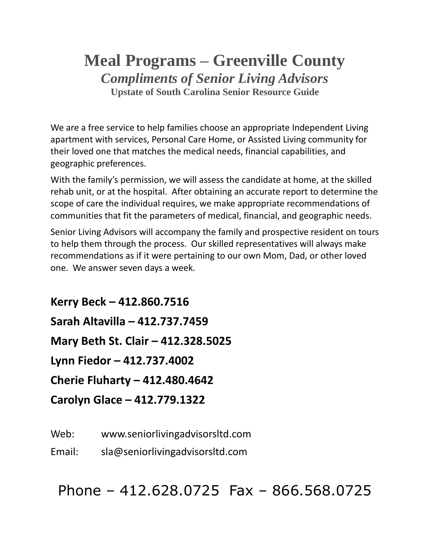# **Meal Programs – Greenville County** *Compliments of Senior Living Advisors* **Upstate of South Carolina Senior Resource Guide**

We are a free service to help families choose an appropriate Independent Living apartment with services, Personal Care Home, or Assisted Living community for their loved one that matches the medical needs, financial capabilities, and geographic preferences.

With the family's permission, we will assess the candidate at home, at the skilled rehab unit, or at the hospital. After obtaining an accurate report to determine the scope of care the individual requires, we make appropriate recommendations of communities that fit the parameters of medical, financial, and geographic needs.

Senior Living Advisors will accompany the family and prospective resident on tours to help them through the process. Our skilled representatives will always make recommendations as if it were pertaining to our own Mom, Dad, or other loved one. We answer seven days a week.

**Kerry Beck – 412.860.7516 Sarah Altavilla – 412.737.7459 Mary Beth St. Clair – 412.328.5025 Lynn Fiedor – 412.737.4002 Cherie Fluharty – 412.480.4642 Carolyn Glace – 412.779.1322**

Web: www.seniorlivingadvisorsltd.com

Email: sla@seniorlivingadvisorsltd.com

Phone – 412.628.0725 Fax – 866.568.0725